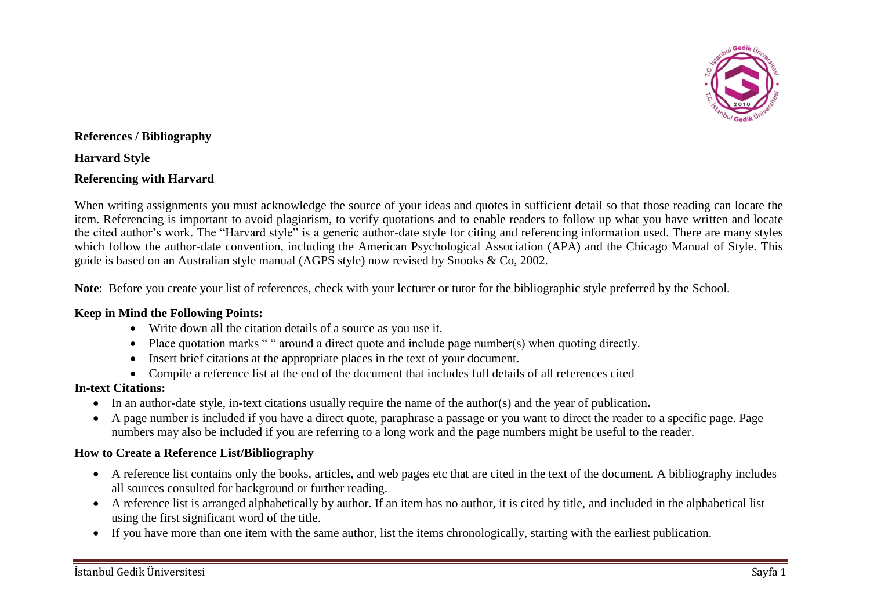

### **References / Bibliography**

**Harvard Style** 

### **Referencing with Harvard**

When writing assignments you must acknowledge the source of your ideas and quotes in sufficient detail so that those reading can locate the item. Referencing is important to avoid plagiarism, to verify quotations and to enable readers to follow up what you have written and locate the cited author's work. The "Harvard style" is a generic author-date style for citing and referencing information used. There are many styles which follow the author-date convention, including the American Psychological Association (APA) and the Chicago Manual of Style. This guide is based on an Australian style manual (AGPS style) now revised by Snooks & Co, 2002.

**Note**: Before you create your list of references, check with your lecturer or tutor for the bibliographic style preferred by the School.

#### **Keep in Mind the Following Points:**

- Write down all the citation details of a source as you use it.
- Place quotation marks " " around a direct quote and include page number(s) when quoting directly.
- Insert brief citations at the appropriate places in the text of your document.
- Compile a reference list at the end of the document that includes full details of all references cited

#### **In-text Citations:**

- In an author-date style, in-text citations usually require the name of the author(s) and the year of publication**.**
- A page number is included if you have a direct quote, paraphrase a passage or you want to direct the reader to a specific page. Page numbers may also be included if you are referring to a long work and the page numbers might be useful to the reader.

#### **How to Create a Reference List/Bibliography**

- A reference list contains only the books, articles, and web pages etc that are cited in the text of the document. A bibliography includes all sources consulted for background or further reading.
- A reference list is arranged alphabetically by author. If an item has no author, it is cited by title, and included in the alphabetical list using the first significant word of the title.
- If you have more than one item with the same author, list the items chronologically, starting with the earliest publication.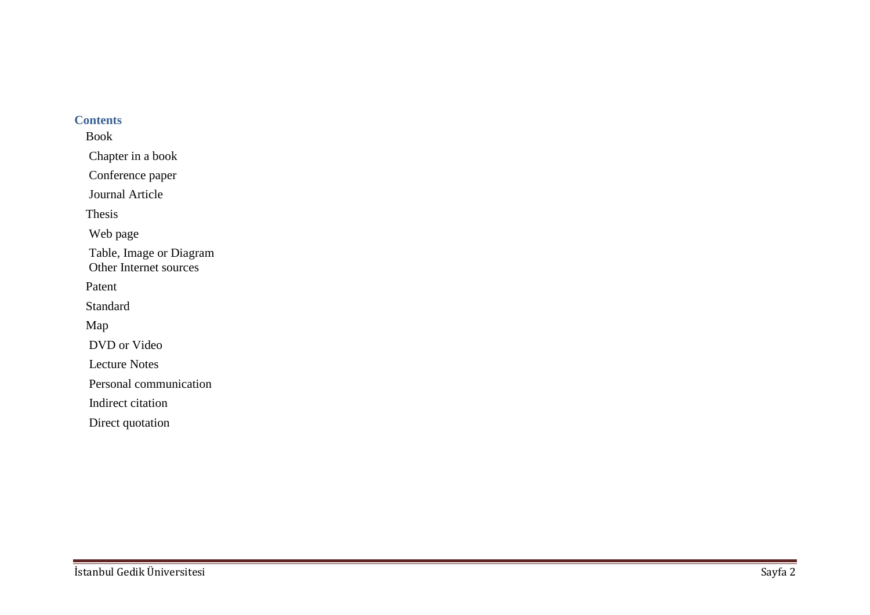#### **Contents**

Book [Chapter in a boo](#page-4-0) k [Conference pape](#page-4-0) r [Journal Articl](#page-5-0) e Thesis [Web pag](#page-6-0) e [Table, Image or Diagra](#page-8-0) m [Other Internet source](#page-9-0) s Patent Standard Map DVD or Vide o [Lecture Note](#page-13-0) s [Personal communicatio](#page-13-0) n Indirect citatio n

Direct quotatio n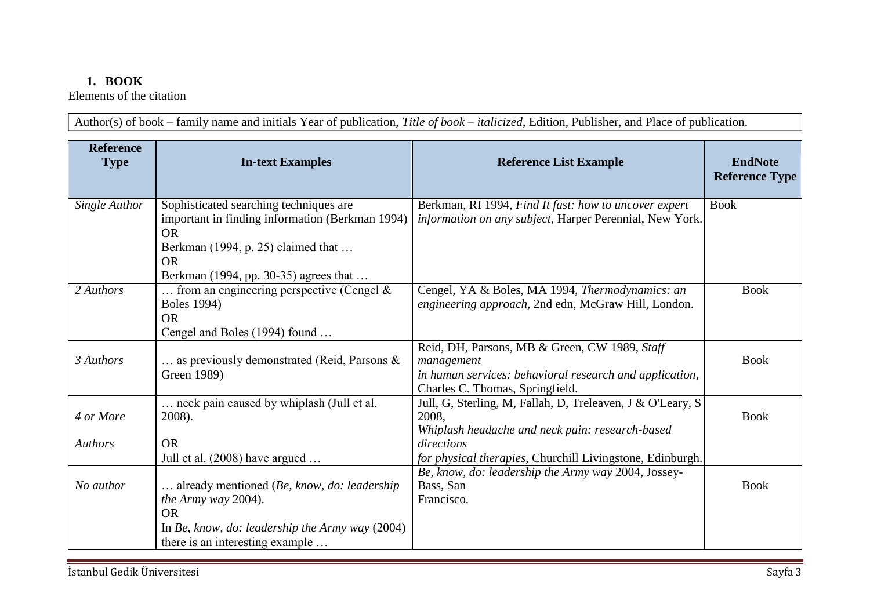# **1. BOOK**

Elements of the citation

Author(s) of book – family name and initials Year of publication, *Title of book – italicized*, Edition, Publisher, and Place of publication.

| <b>Reference</b><br><b>Type</b> | <b>In-text Examples</b>                                                                                                                                                                            | <b>Reference List Example</b>                                                                                                                             | <b>EndNote</b><br><b>Reference Type</b> |
|---------------------------------|----------------------------------------------------------------------------------------------------------------------------------------------------------------------------------------------------|-----------------------------------------------------------------------------------------------------------------------------------------------------------|-----------------------------------------|
| Single Author                   | Sophisticated searching techniques are<br>important in finding information (Berkman 1994)<br><b>OR</b><br>Berkman (1994, p. 25) claimed that<br><b>OR</b><br>Berkman (1994, pp. 30-35) agrees that | Berkman, RI 1994, Find It fast: how to uncover expert<br>information on any subject, Harper Perennial, New York.                                          | <b>Book</b>                             |
| 2 Authors                       | from an engineering perspective (Cengel $&$<br><b>Boles</b> 1994)<br><b>OR</b><br>Cengel and Boles (1994) found                                                                                    | Cengel, YA & Boles, MA 1994, Thermodynamics: an<br>engineering approach, 2nd edn, McGraw Hill, London.                                                    | <b>Book</b>                             |
| 3 Authors                       | as previously demonstrated (Reid, Parsons &<br>Green 1989)                                                                                                                                         | Reid, DH, Parsons, MB & Green, CW 1989, Staff<br>management<br>in human services: behavioral research and application,<br>Charles C. Thomas, Springfield. | <b>Book</b>                             |
| 4 or More                       | neck pain caused by whiplash (Jull et al.<br>2008).                                                                                                                                                | Jull, G, Sterling, M, Fallah, D, Treleaven, J & O'Leary, S<br>2008.<br>Whiplash headache and neck pain: research-based                                    | <b>Book</b>                             |
| <b>Authors</b>                  | <b>OR</b><br>Jull et al. (2008) have argued                                                                                                                                                        | directions<br>for physical therapies, Churchill Livingstone, Edinburgh.                                                                                   |                                         |
| No author                       | already mentioned (Be, know, do: leadership<br><i>the Army way</i> 2004).<br><b>OR</b>                                                                                                             | Be, know, do: leadership the Army way 2004, Jossey-<br>Bass, San<br>Francisco.                                                                            | <b>Book</b>                             |
|                                 | In Be, know, do: leadership the Army way $(2004)$<br>there is an interesting example                                                                                                               |                                                                                                                                                           |                                         |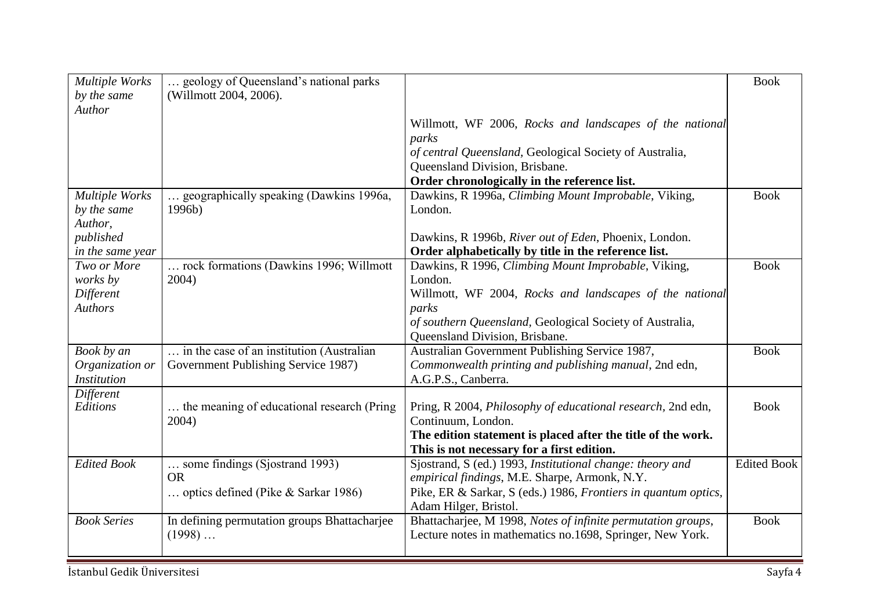| Multiple Works<br>by the same<br>Author | geology of Queensland's national parks<br>(Willmott 2004, 2006). |                                                                     | <b>Book</b>        |
|-----------------------------------------|------------------------------------------------------------------|---------------------------------------------------------------------|--------------------|
|                                         |                                                                  | Willmott, WF 2006, Rocks and landscapes of the national             |                    |
|                                         |                                                                  | parks                                                               |                    |
|                                         |                                                                  | of central Queensland, Geological Society of Australia,             |                    |
|                                         |                                                                  | Queensland Division, Brisbane.                                      |                    |
|                                         |                                                                  | Order chronologically in the reference list.                        |                    |
| <b>Multiple Works</b>                   | geographically speaking (Dawkins 1996a,                          | Dawkins, R 1996a, Climbing Mount Improbable, Viking,                | <b>Book</b>        |
| by the same                             | 1996b)                                                           | London.                                                             |                    |
| Author,                                 |                                                                  |                                                                     |                    |
| published                               |                                                                  | Dawkins, R 1996b, River out of Eden, Phoenix, London.               |                    |
| in the same year                        |                                                                  | Order alphabetically by title in the reference list.                |                    |
| Two or More                             | rock formations (Dawkins 1996; Willmott                          | Dawkins, R 1996, Climbing Mount Improbable, Viking,                 | <b>Book</b>        |
| works by                                | 2004)                                                            | London.                                                             |                    |
| Different                               |                                                                  | Willmott, WF 2004, Rocks and landscapes of the national             |                    |
| <b>Authors</b>                          |                                                                  | parks                                                               |                    |
|                                         |                                                                  | of southern Queensland, Geological Society of Australia,            |                    |
|                                         |                                                                  | Queensland Division, Brisbane.                                      |                    |
| Book by an                              | in the case of an institution (Australian                        | Australian Government Publishing Service 1987,                      | <b>Book</b>        |
| Organization or                         | Government Publishing Service 1987)                              | Commonwealth printing and publishing manual, 2nd edn,               |                    |
| <b>Institution</b>                      |                                                                  | A.G.P.S., Canberra.                                                 |                    |
| Different                               |                                                                  |                                                                     |                    |
| Editions                                | the meaning of educational research (Pring                       | Pring, R 2004, <i>Philosophy of educational research</i> , 2nd edn, | <b>Book</b>        |
|                                         | 2004)                                                            | Continuum, London.                                                  |                    |
|                                         |                                                                  | The edition statement is placed after the title of the work.        |                    |
|                                         |                                                                  | This is not necessary for a first edition.                          |                    |
| <b>Edited Book</b>                      | some findings (Sjostrand 1993)                                   | Sjostrand, S (ed.) 1993, Institutional change: theory and           | <b>Edited Book</b> |
|                                         | <b>OR</b>                                                        | empirical findings, M.E. Sharpe, Armonk, N.Y.                       |                    |
|                                         | optics defined (Pike & Sarkar 1986)                              | Pike, ER & Sarkar, S (eds.) 1986, Frontiers in quantum optics,      |                    |
|                                         |                                                                  | Adam Hilger, Bristol.                                               |                    |
| <b>Book Series</b>                      | In defining permutation groups Bhattacharjee                     | Bhattacharjee, M 1998, Notes of infinite permutation groups,        | <b>Book</b>        |
|                                         | $(1998)$                                                         | Lecture notes in mathematics no.1698, Springer, New York.           |                    |
|                                         |                                                                  |                                                                     |                    |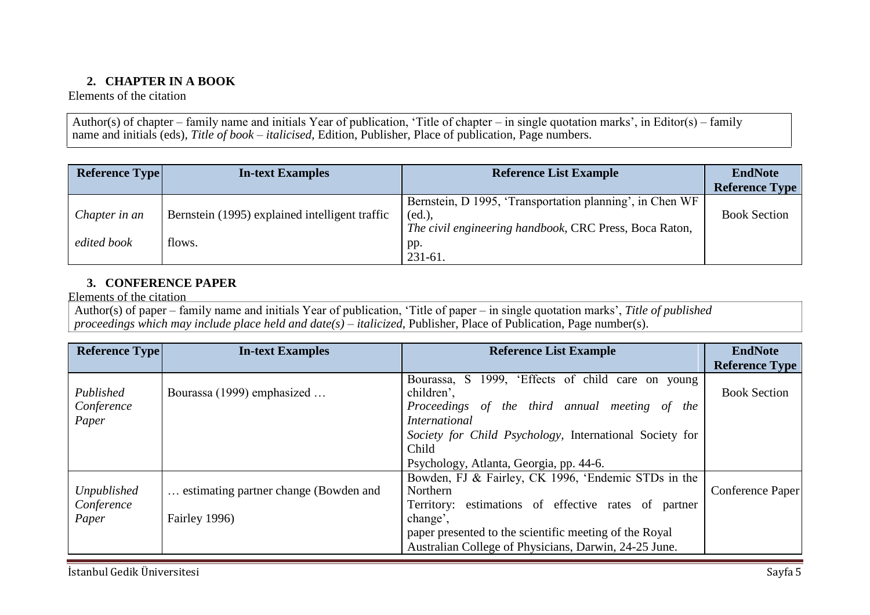## **2. CHAPTER IN A BOOK**

<span id="page-4-0"></span>Elements of the citation

Author(s) of chapter – family name and initials Year of publication, 'Title of chapter – in single quotation marks', in Editor(s) – family name and initials (eds), *Title of book – italicised*, Edition, Publisher, Place of publication, Page numbers.

| <b>Reference Type</b>        | <b>In-text Examples</b>                                  | <b>Reference List Example</b>                                                                                                       | <b>EndNote</b>        |
|------------------------------|----------------------------------------------------------|-------------------------------------------------------------------------------------------------------------------------------------|-----------------------|
|                              |                                                          |                                                                                                                                     | <b>Reference Type</b> |
| Chapter in an<br>edited book | Bernstein (1995) explained intelligent traffic<br>flows. | Bernstein, D 1995, 'Transportation planning', in Chen WF<br>(ed.),<br>The civil engineering handbook, CRC Press, Boca Raton,<br>pp. | <b>Book Section</b>   |
|                              |                                                          | $231 - 61$ .                                                                                                                        |                       |

## **3. CONFERENCE PAPER**

Elements of the citation

Author(s) of paper – family name and initials Year of publication, 'Title of paper – in single quotation marks', *Title of published proceedings which may include place held and date(s) – italicized*, Publisher, Place of Publication, Page number(s).

| <b>Reference Type</b> | <b>In-text Examples</b>               | <b>Reference List Example</b>                                   | <b>EndNote</b>        |
|-----------------------|---------------------------------------|-----------------------------------------------------------------|-----------------------|
|                       |                                       |                                                                 | <b>Reference Type</b> |
| Published             | Bourassa (1999) emphasized            | Bourassa, S 1999, 'Effects of child care on young<br>children', | <b>Book Section</b>   |
| Conference            |                                       | Proceedings of the third annual meeting of<br>the               |                       |
| Paper                 |                                       | <i>International</i>                                            |                       |
|                       |                                       | Society for Child Psychology, International Society for         |                       |
|                       |                                       | Child                                                           |                       |
|                       |                                       | Psychology, Atlanta, Georgia, pp. 44-6.                         |                       |
|                       |                                       | Bowden, FJ & Fairley, CK 1996, 'Endemic STDs in the             |                       |
| Unpublished           | estimating partner change (Bowden and | Northern                                                        | Conference Paper      |
| Conference            |                                       | Territory: estimations of effective rates of partner            |                       |
| Paper                 | Fairley 1996)                         | change',                                                        |                       |
|                       |                                       | paper presented to the scientific meeting of the Royal          |                       |
|                       |                                       | Australian College of Physicians, Darwin, 24-25 June.           |                       |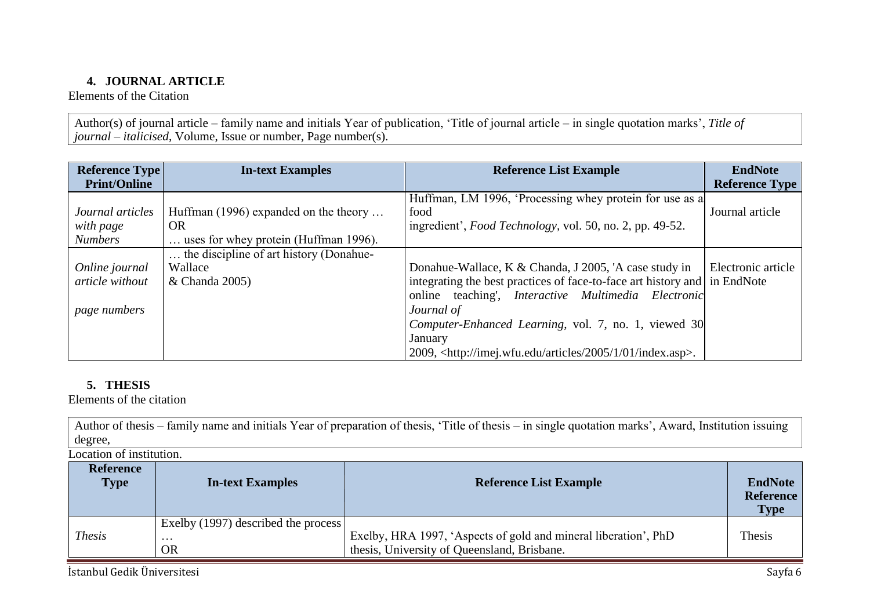### **4. JOURNAL ARTICLE**

<span id="page-5-0"></span>Elements of the Citation

Author(s) of journal article – family name and initials Year of publication, 'Title of journal article – in single quotation marks', *Title of journal – italicised*, Volume, Issue or number, Page number(s).

| <b>Reference Type</b>                             | <b>In-text Examples</b>                                                                     | <b>Reference List Example</b>                                                                                                                                                                                                                                          | <b>EndNote</b>        |
|---------------------------------------------------|---------------------------------------------------------------------------------------------|------------------------------------------------------------------------------------------------------------------------------------------------------------------------------------------------------------------------------------------------------------------------|-----------------------|
| <b>Print/Online</b>                               |                                                                                             |                                                                                                                                                                                                                                                                        | <b>Reference Type</b> |
| Journal articles<br>with page<br><b>Numbers</b>   | Huffman (1996) expanded on the theory<br><b>OR</b><br>uses for whey protein (Huffman 1996). | Huffman, LM 1996, 'Processing whey protein for use as a<br>food<br>ingredient', Food Technology, vol. 50, no. 2, pp. 49-52.                                                                                                                                            | Journal article       |
| Online journal<br>article without<br>page numbers | the discipline of art history (Donahue-<br>Wallace<br>& Chanda 2005)                        | Donahue-Wallace, K & Chanda, J 2005, 'A case study in<br>integrating the best practices of face-to-face art history and in EndNote<br>online teaching', <i>Interactive Multimedia Electronic</i><br>Journal of<br>Computer-Enhanced Learning, vol. 7, no. 1, viewed 30 | Electronic article    |
|                                                   |                                                                                             | January<br>2009, <http: 01="" 1="" 2005="" articles="" imej.wfu.edu="" index.asp="">.</http:>                                                                                                                                                                          |                       |

### **5. THESIS**

Elements of the citation

Author of thesis – family name and initials Year of preparation of thesis, 'Title of thesis – in single quotation marks', Award, Institution issuing degree,

Location of institution.

| <b>Reference</b><br><b>Type</b> | <b>In-text Examples</b>                                      | <b>Reference List Example</b>                                                                                  | <b>EndNote</b><br><b>Reference</b><br><b>Type</b> |
|---------------------------------|--------------------------------------------------------------|----------------------------------------------------------------------------------------------------------------|---------------------------------------------------|
| <b>Thesis</b>                   | Exelby (1997) described the process<br>$\cdots$<br><b>OR</b> | Exelby, HRA 1997, 'Aspects of gold and mineral liberation', PhD<br>thesis, University of Queensland, Brisbane. | Thesis                                            |

İstanbul Gedik Üniversitesi Sayfa 6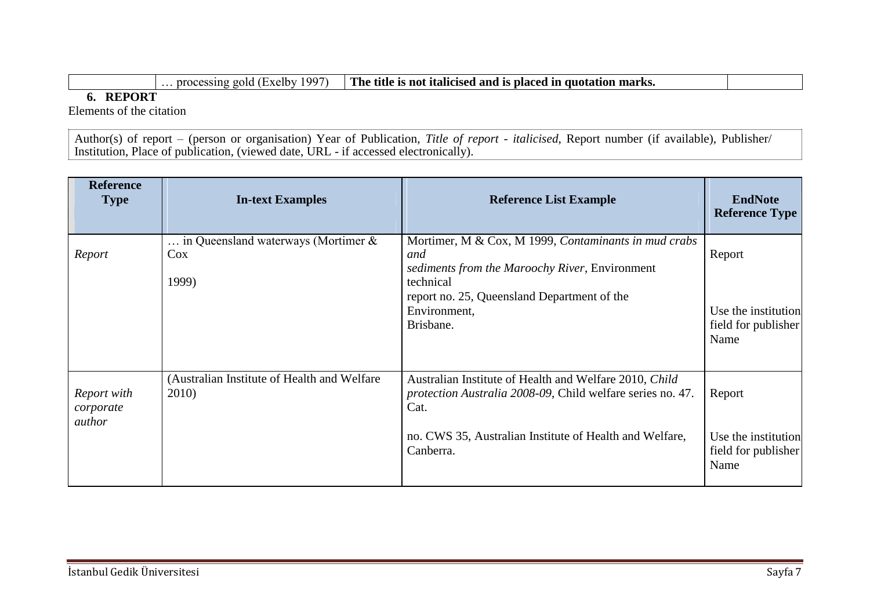… processing gold (Exelby 1997) **The title is not italicised and is placed in quotation marks.**

**6. REPORT**

<span id="page-6-0"></span>Elements of the citation

Author(s) of report – (person or organisation) Year of Publication, *Title of report - italicised*, Report number (if available), Publisher/ Institution, Place of publication, (viewed date, URL - if accessed electronically).

| <b>Reference</b><br><b>Type</b>    | <b>In-text Examples</b>                                | <b>Reference List Example</b>                                                                                                | <b>EndNote</b><br><b>Reference Type</b>            |
|------------------------------------|--------------------------------------------------------|------------------------------------------------------------------------------------------------------------------------------|----------------------------------------------------|
| Report                             | in Queensland waterways (Mortimer &<br>$\cos$<br>1999) | Mortimer, M & Cox, M 1999, Contaminants in mud crabs<br>and<br>sediments from the Maroochy River, Environment<br>technical   | Report                                             |
|                                    |                                                        | report no. 25, Queensland Department of the<br>Environment,<br>Brisbane.                                                     | Use the institution<br>field for publisher<br>Name |
| Report with<br>corporate<br>author | (Australian Institute of Health and Welfare)<br>2010)  | Australian Institute of Health and Welfare 2010, Child<br>protection Australia 2008-09, Child welfare series no. 47.<br>Cat. | Report                                             |
|                                    |                                                        | no. CWS 35, Australian Institute of Health and Welfare,<br>Canberra.                                                         | Use the institution<br>field for publisher<br>Name |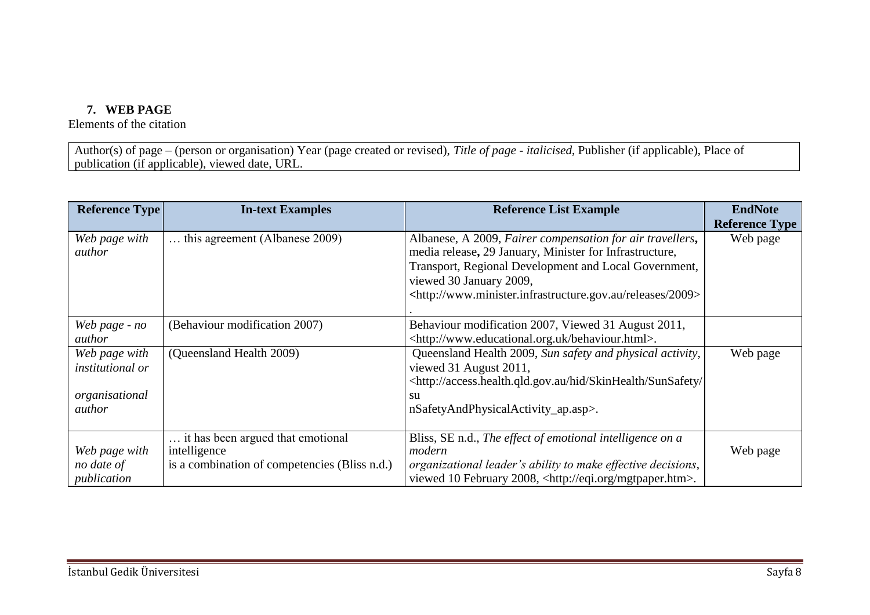# **7. WEB PAGE**

Elements of the citation

Author(s) of page – (person or organisation) Year (page created or revised), *Title of page - italicised*, Publisher (if applicable), Place of publication (if applicable), viewed date, URL.

| <b>Reference Type</b>   | <b>In-text Examples</b>                       | <b>Reference List Example</b>                                                                     | <b>EndNote</b>        |
|-------------------------|-----------------------------------------------|---------------------------------------------------------------------------------------------------|-----------------------|
|                         |                                               |                                                                                                   | <b>Reference Type</b> |
| Web page with           | this agreement (Albanese 2009).               | Albanese, A 2009, Fairer compensation for air travellers,                                         | Web page              |
| author                  |                                               | media release, 29 January, Minister for Infrastructure,                                           |                       |
|                         |                                               | Transport, Regional Development and Local Government,                                             |                       |
|                         |                                               | viewed 30 January 2009,                                                                           |                       |
|                         |                                               | <http: 2009="" releases="" www.minister.infrastructure.gov.au=""></http:>                         |                       |
|                         |                                               |                                                                                                   |                       |
| Web page - no           | (Behaviour modification 2007)                 | Behaviour modification 2007, Viewed 31 August 2011,                                               |                       |
| author                  |                                               | <http: behaviour.html="" www.educational.org.uk="">.</http:>                                      |                       |
| Web page with           | (Queensland Health 2009)                      | Queensland Health 2009, Sun safety and physical activity,                                         | Web page              |
| <i>institutional or</i> |                                               | viewed 31 August 2011,                                                                            |                       |
|                         |                                               | <http: <="" access.health.qld.gov.au="" hid="" skinhealth="" sunsafety="" td=""><td></td></http:> |                       |
| organisational          |                                               | su                                                                                                |                       |
| author                  |                                               | nSafetyAndPhysicalActivity_ap.asp>.                                                               |                       |
|                         |                                               |                                                                                                   |                       |
|                         | it has been argued that emotional             | Bliss, SE n.d., The effect of emotional intelligence on a                                         |                       |
| Web page with           | intelligence                                  | modern                                                                                            | Web page              |
| no date of              | is a combination of competencies (Bliss n.d.) | organizational leader's ability to make effective decisions,                                      |                       |
| publication             |                                               | viewed 10 February 2008, <http: eqi.org="" mgtpaper.htm="">.</http:>                              |                       |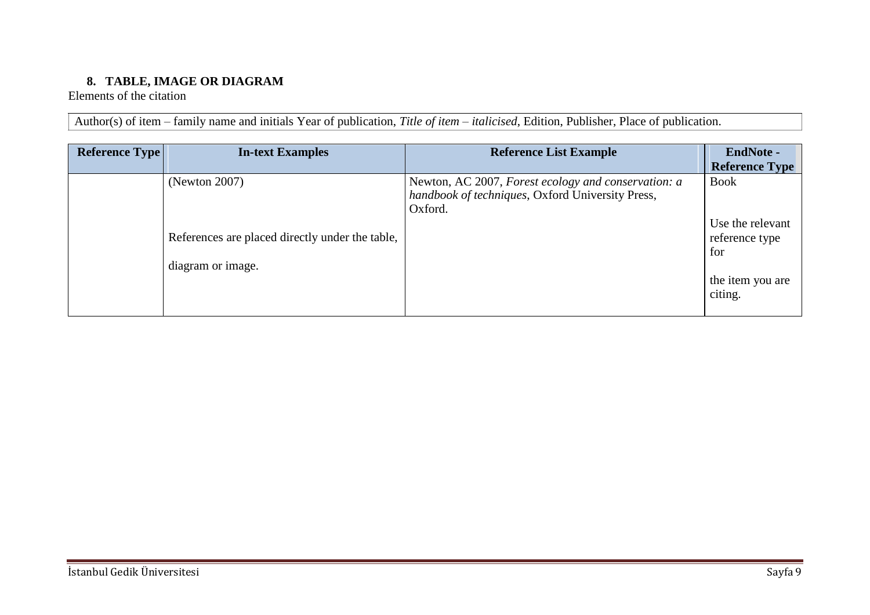# **8. TABLE, IMAGE OR DIAGRAM**

<span id="page-8-0"></span>Elements of the citation

Author(s) of item – family name and initials Year of publication, *Title of item – italicised*, Edition, Publisher, Place of publication.

| <b>Reference Type</b> | <b>In-text Examples</b>                                                               | <b>Reference List Example</b>                                                                                      | <b>EndNote -</b><br><b>Reference Type</b>                                               |
|-----------------------|---------------------------------------------------------------------------------------|--------------------------------------------------------------------------------------------------------------------|-----------------------------------------------------------------------------------------|
|                       | (Newton 2007)<br>References are placed directly under the table,<br>diagram or image. | Newton, AC 2007, Forest ecology and conservation: a<br>handbook of techniques, Oxford University Press,<br>Oxford. | <b>Book</b><br>Use the relevant<br>reference type<br>for<br>the item you are<br>citing. |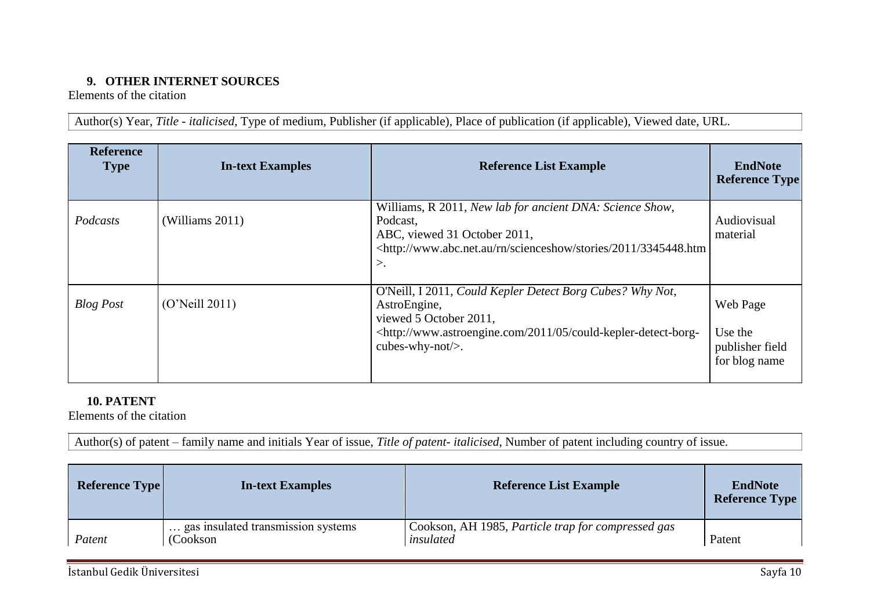# **9. OTHER INTERNET SOURCES**

<span id="page-9-0"></span>Elements of the citation

Author(s) Year, *Title - italicised*, Type of medium, Publisher (if applicable), Place of publication (if applicable), Viewed date, URL.

| <b>Reference</b><br><b>Type</b> | <b>In-text Examples</b> | <b>Reference List Example</b>                                                                                                                                                                                               | <b>EndNote</b><br><b>Reference Type</b>                 |
|---------------------------------|-------------------------|-----------------------------------------------------------------------------------------------------------------------------------------------------------------------------------------------------------------------------|---------------------------------------------------------|
| Podcasts                        | (Williams 2011)         | Williams, R 2011, New lab for ancient DNA: Science Show,<br>Podcast,<br>ABC, viewed 31 October 2011,<br><http: 2011="" 3345448.htm<br="" rn="" scienceshow="" stories="" www.abc.net.au=""><math>\mathcal{L}</math></http:> | Audiovisual<br>material                                 |
| <b>Blog Post</b>                | (O'Neil 2011)           | O'Neill, I 2011, Could Kepler Detect Borg Cubes? Why Not,<br>AstroEngine,<br>viewed 5 October 2011,<br><http: 05="" 2011="" could-kepler-detect-borg-<br="" www.astroengine.com="">cubes-why-not/<math>&gt;</math>.</http:> | Web Page<br>Use the<br>publisher field<br>for blog name |

# **10. PATENT**

Elements of the citation

Author(s) of patent – family name and initials Year of issue, *Title of patent- italicised*, Number of patent including country of issue.

| <b>Reference Type</b> | <b>In-text Examples</b>                        | <b>Reference List Example</b>                                   | <b>EndNote</b><br><b>Reference Type</b> |
|-----------------------|------------------------------------------------|-----------------------------------------------------------------|-----------------------------------------|
| Patent                | gas insulated transmission systems<br>(Cookson | Cookson, AH 1985, Particle trap for compressed gas<br>insulated | Patent                                  |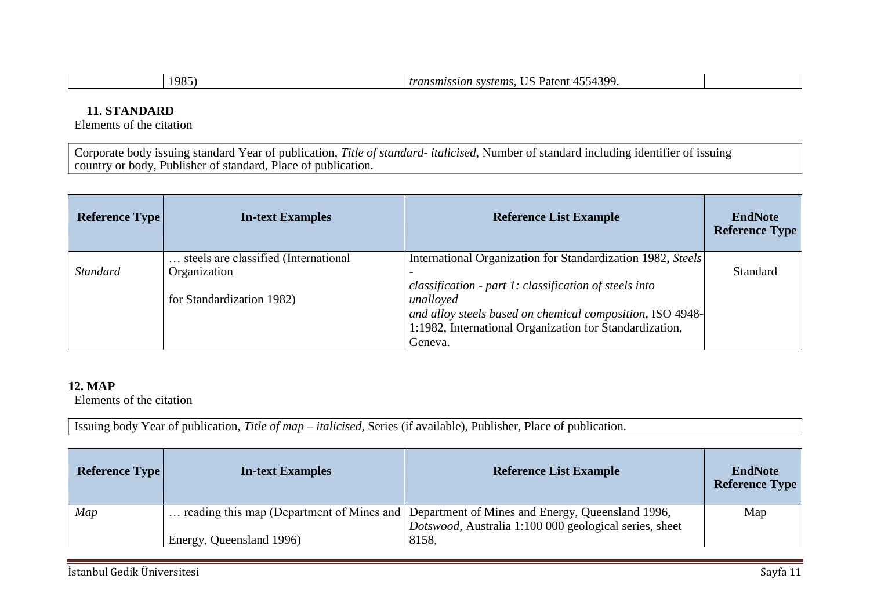| n |  |
|---|--|
|   |  |

# **11. STANDARD**

Elements of the citation

Corporate body issuing standard Year of publication, *Title of standard- italicised,* Number of standard including identifier of issuing country or body, Publisher of standard, Place of publication.

| <b>Reference Type</b> | <b>In-text Examples</b>                              | <b>Reference List Example</b>                                                                                                                                                                          | <b>EndNote</b><br><b>Reference Type</b> |
|-----------------------|------------------------------------------------------|--------------------------------------------------------------------------------------------------------------------------------------------------------------------------------------------------------|-----------------------------------------|
| <b>Standard</b>       | steels are classified (International<br>Organization | International Organization for Standardization 1982, Steels                                                                                                                                            | Standard                                |
|                       | for Standardization 1982)                            | classification - part 1: classification of steels into<br>unalloyed<br>and alloy steels based on chemical composition, ISO 4948-<br>1:1982, International Organization for Standardization,<br>Geneva. |                                         |

### **12. MAP**

Elements of the citation

Issuing body Year of publication, *Title of map – italicised,* Series (if available), Publisher, Place of publication.

| <b>Reference Type</b> | <b>In-text Examples</b>  | <b>Reference List Example</b>                                                                                                                                 | <b>EndNote</b><br><b>Reference Type</b> |
|-----------------------|--------------------------|---------------------------------------------------------------------------------------------------------------------------------------------------------------|-----------------------------------------|
| Map                   | Energy, Queensland 1996) | reading this map (Department of Mines and Department of Mines and Energy, Queensland 1996,<br>Dotswood, Australia 1:100 000 geological series, sheet<br>8158, | Map                                     |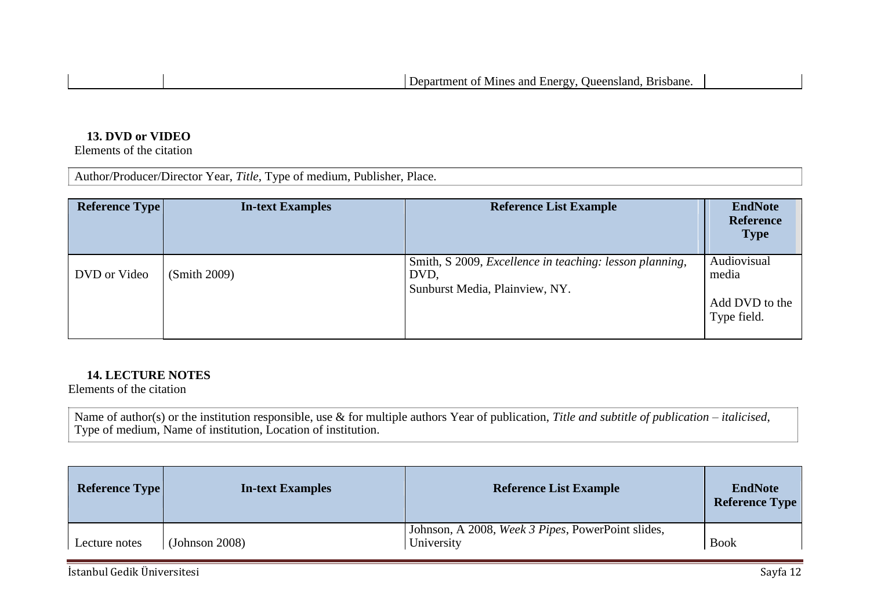#### **13. DVD or VIDEO**

Elements of the citation

Author/Producer/Director Year, *Title*, Type of medium, Publisher, Place.

| <b>Reference Type</b> | <b>In-text Examples</b> | <b>Reference List Example</b>                                                                     | <b>EndNote</b><br><b>Reference</b><br><b>Type</b> |
|-----------------------|-------------------------|---------------------------------------------------------------------------------------------------|---------------------------------------------------|
| DVD or Video          | (Smith 2009)            | Smith, S 2009, Excellence in teaching: lesson planning,<br>DVD.<br>Sunburst Media, Plainview, NY. | Audiovisual<br>media                              |
|                       |                         |                                                                                                   | Add DVD to the<br>Type field.                     |

### **14. LECTURE NOTES**

Elements of the citation

Name of author(s) or the institution responsible, use & for multiple authors Year of publication, *Title and subtitle of publication – italicised*, Type of medium, Name of institution, Location of institution.

| <b>Reference Type</b> | <b>In-text Examples</b> | <b>Reference List Example</b>                                   | <b>EndNote</b><br><b>Reference Type</b> |
|-----------------------|-------------------------|-----------------------------------------------------------------|-----------------------------------------|
| Lecture notes         | (Johnson 2008)          | Johnson, A 2008, Week 3 Pipes, PowerPoint slides,<br>University | <b>Book</b>                             |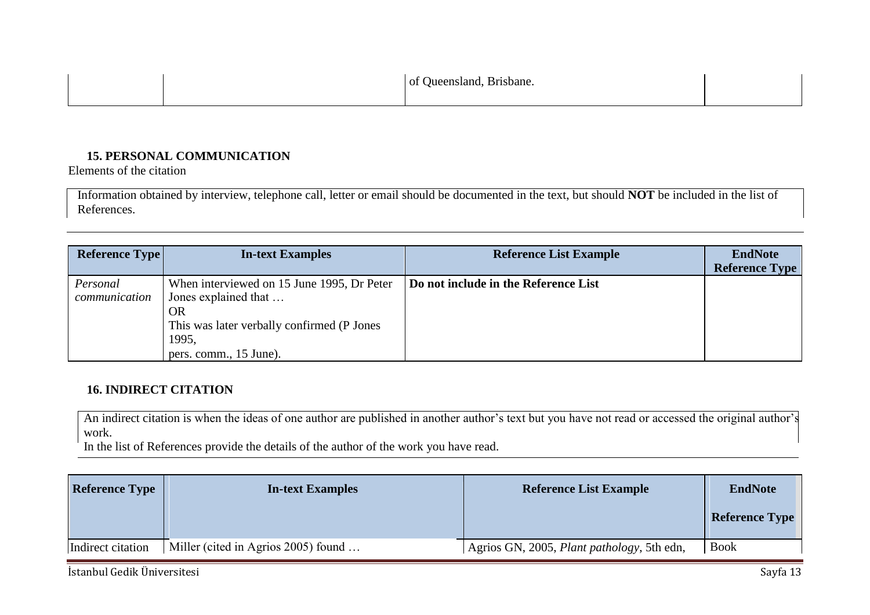|  | of Queensland, Brisbane. |  |
|--|--------------------------|--|
|  |                          |  |

## **15. PERSONAL COMMUNICATION**

Elements of the citation

Information obtained by interview, telephone call, letter or email should be documented in the text, but should **NOT** be included in the list of References.

| <b>Reference Type</b>     | <b>In-text Examples</b>                                                                                                                                           | <b>Reference List Example</b>        | <b>EndNote</b><br><b>Reference Type</b> |
|---------------------------|-------------------------------------------------------------------------------------------------------------------------------------------------------------------|--------------------------------------|-----------------------------------------|
| Personal<br>communication | When interviewed on 15 June 1995, Dr Peter<br>Jones explained that<br><b>OR</b><br>This was later verbally confirmed (P Jones)<br>1995,<br>pers. comm., 15 June). | Do not include in the Reference List |                                         |

## **16. INDIRECT CITATION**

An indirect citation is when the ideas of one author are published in another author's text but you have not read or accessed the original author's work.

In the list of References provide the details of the author of the work you have read.

| <b>Reference Type</b> | <b>In-text Examples</b>             | <b>Reference List Example</b>              | <b>EndNote</b>        |
|-----------------------|-------------------------------------|--------------------------------------------|-----------------------|
|                       |                                     |                                            | <b>Reference Type</b> |
| Indirect citation     | Miller (cited in Agrios 2005) found | Agrios GN, 2005, Plant pathology, 5th edn, | Book                  |